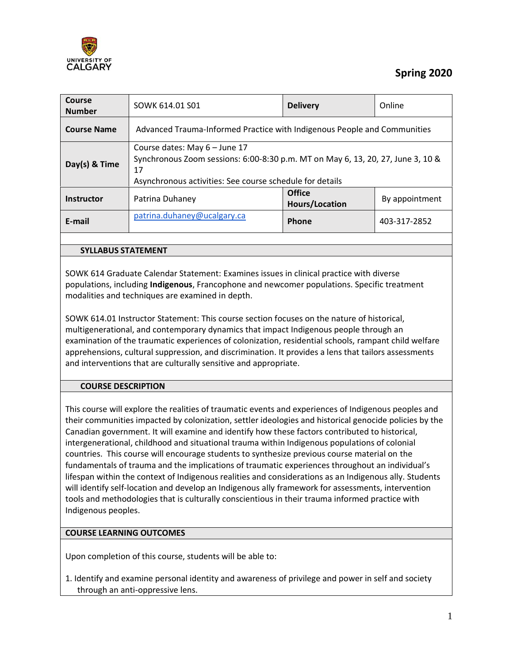

# **Spring 2020**

| Course<br><b>Number</b> | SOWK 614.01 S01                                                                                                                                                                    | <b>Delivery</b>                 | Online         |  |
|-------------------------|------------------------------------------------------------------------------------------------------------------------------------------------------------------------------------|---------------------------------|----------------|--|
| <b>Course Name</b>      | Advanced Trauma-Informed Practice with Indigenous People and Communities                                                                                                           |                                 |                |  |
| Day(s) & Time           | Course dates: May 6 - June 17<br>Synchronous Zoom sessions: 6:00-8:30 p.m. MT on May 6, 13, 20, 27, June 3, 10 &<br>17<br>Asynchronous activities: See course schedule for details |                                 |                |  |
| <b>Instructor</b>       | Patrina Duhaney                                                                                                                                                                    | Office<br><b>Hours/Location</b> | By appointment |  |
| E-mail                  | patrina.duhaney@ucalgary.ca                                                                                                                                                        | <b>Phone</b>                    | 403-317-2852   |  |
|                         |                                                                                                                                                                                    |                                 |                |  |

### **SYLLABUS STATEMENT**

SOWK 614 Graduate Calendar Statement: Examines issues in clinical practice with diverse populations, including **Indigenous**, Francophone and newcomer populations. Specific treatment modalities and techniques are examined in depth.

SOWK 614.01 Instructor Statement: This course section focuses on the nature of historical, multigenerational, and contemporary dynamics that impact Indigenous people through an examination of the traumatic experiences of colonization, residential schools, rampant child welfare apprehensions, cultural suppression, and discrimination. It provides a lens that tailors assessments and interventions that are culturally sensitive and appropriate.

### **COURSE DESCRIPTION**

This course will explore the realities of traumatic events and experiences of Indigenous peoples and their communities impacted by colonization, settler ideologies and historical genocide policies by the Canadian government. It will examine and identify how these factors contributed to historical, intergenerational, childhood and situational trauma within Indigenous populations of colonial countries. This course will encourage students to synthesize previous course material on the fundamentals of trauma and the implications of traumatic experiences throughout an individual's lifespan within the context of Indigenous realities and considerations as an Indigenous ally. Students will identify self-location and develop an Indigenous ally framework for assessments, intervention tools and methodologies that is culturally conscientious in their trauma informed practice with Indigenous peoples.

### **COURSE LEARNING OUTCOMES**

Upon completion of this course, students will be able to:

1. Identify and examine personal identity and awareness of privilege and power in self and society through an anti-oppressive lens.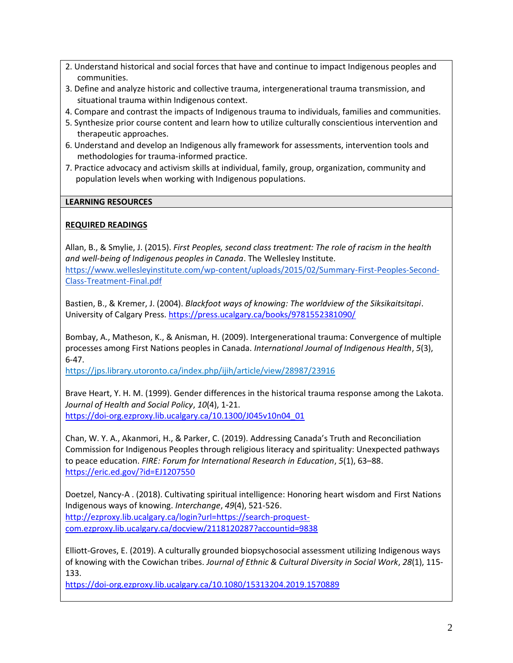- 2. Understand historical and social forces that have and continue to impact Indigenous peoples and communities.
- 3. Define and analyze historic and collective trauma, intergenerational trauma transmission, and situational trauma within Indigenous context.
- 4. Compare and contrast the impacts of Indigenous trauma to individuals, families and communities.
- 5. Synthesize prior course content and learn how to utilize culturally conscientious intervention and therapeutic approaches.
- 6. Understand and develop an Indigenous ally framework for assessments, intervention tools and methodologies for trauma-informed practice.
- 7. Practice advocacy and activism skills at individual, family, group, organization, community and population levels when working with Indigenous populations.

### **LEARNING RESOURCES**

## **REQUIRED READINGS**

Allan, B., & Smylie, J. (2015). *First Peoples, second class treatment: The role of racism in the health and well-being of Indigenous peoples in Canada*. The Wellesley Institute. [https://www.wellesleyinstitute.com/wp-content/uploads/2015/02/Summary-First-Peoples-Second-](https://www.wellesleyinstitute.com/wp-content/uploads/2015/02/Summary-First-Peoples-Second-Class-Treatment-Final.pdf)[Class-Treatment-Final.pdf](https://www.wellesleyinstitute.com/wp-content/uploads/2015/02/Summary-First-Peoples-Second-Class-Treatment-Final.pdf)

Bastien, B., & Kremer, J. (2004). *Blackfoot ways of knowing: The worldview of the Siksikaitsitapi*. University of Calgary Press.<https://press.ucalgary.ca/books/9781552381090/>

Bombay, A., Matheson, K., & Anisman, H. (2009). Intergenerational trauma: Convergence of multiple processes among First Nations peoples in Canada. *International Journal of Indigenous Health*, *5*(3), 6-47.

<https://jps.library.utoronto.ca/index.php/ijih/article/view/28987/23916>

Brave Heart, Y. H. M. (1999). Gender differences in the historical trauma response among the Lakota. *Journal of Health and Social Policy*, *10*(4), 1-21. [https://doi-org.ezproxy.lib.ucalgary.ca/10.1300/J045v10n04\\_01](https://doi-org.ezproxy.lib.ucalgary.ca/10.1300/J045v10n04_01)

Chan, W. Y. A., Akanmori, H., & Parker, C. (2019). Addressing Canada's Truth and Reconciliation Commission for Indigenous Peoples through religious literacy and spirituality: Unexpected pathways to peace education. *FIRE: Forum for International Research in Education*, *5*(1), 63–88. <https://eric.ed.gov/?id=EJ1207550>

Doetzel, Nancy-A . (2018). Cultivating spiritual intelligence: Honoring heart wisdom and First Nations Indigenous ways of knowing. *Interchange*, *49*(4), 521-526. [http://ezproxy.lib.ucalgary.ca/login?url=https://search-proquest](http://ezproxy.lib.ucalgary.ca/login?url=https://search-proquest-com.ezproxy.lib.ucalgary.ca/docview/2118120287?accountid=9838)[com.ezproxy.lib.ucalgary.ca/docview/2118120287?accountid=9838](http://ezproxy.lib.ucalgary.ca/login?url=https://search-proquest-com.ezproxy.lib.ucalgary.ca/docview/2118120287?accountid=9838)

Elliott-Groves, E. (2019). A culturally grounded biopsychosocial assessment utilizing Indigenous ways of knowing with the Cowichan tribes. *Journal of Ethnic & Cultural Diversity in Social Work*, *28*(1), 115- 133.

<https://doi-org.ezproxy.lib.ucalgary.ca/10.1080/15313204.2019.1570889>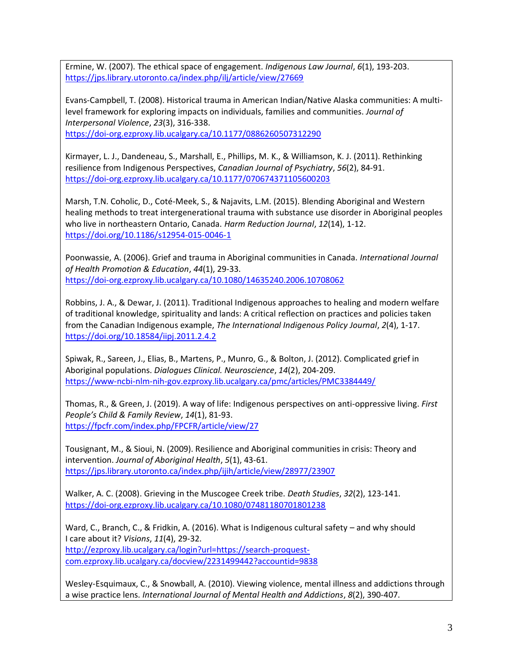Ermine, W. (2007). The ethical space of engagement. *Indigenous Law Journal*, *6*(1), 193-203. <https://jps.library.utoronto.ca/index.php/ilj/article/view/27669>

Evans-Campbell, T. (2008). Historical trauma in American Indian/Native Alaska communities: A multilevel framework for exploring impacts on individuals, families and communities. *Journal of Interpersonal Violence*, *23*(3), 316-338.

<https://doi-org.ezproxy.lib.ucalgary.ca/10.1177/0886260507312290>

Kirmayer, L. J., Dandeneau, S., Marshall, E., Phillips, M. K., & Williamson, K. J. (2011). Rethinking resilience from Indigenous Perspectives, *Canadian Journal of Psychiatry*, *56*(2), 84-91. <https://doi-org.ezproxy.lib.ucalgary.ca/10.1177/070674371105600203>

Marsh, T.N. Coholic, D., Coté-Meek, S., & Najavits, L.M. (2015). Blending Aboriginal and Western healing methods to treat intergenerational trauma with substance use disorder in Aboriginal peoples who live in northeastern Ontario, Canada. *Harm Reduction Journal*, *12*(14), 1-12. <https://doi.org/10.1186/s12954-015-0046-1>

Poonwassie, A. (2006). Grief and trauma in Aboriginal communities in Canada. *International Journal of Health Promotion & Education*, *44*(1), 29-33. <https://doi-org.ezproxy.lib.ucalgary.ca/10.1080/14635240.2006.10708062>

Robbins, J. A., & Dewar, J. (2011). Traditional Indigenous approaches to healing and modern welfare of traditional knowledge, spirituality and lands: A critical reflection on practices and policies taken from the Canadian Indigenous example, *The International Indigenous Policy Journal*, *2*(4), 1-17. <https://doi.org/10.18584/iipj.2011.2.4.2>

Spiwak, R., Sareen, J., Elias, B., Martens, P., Munro, G., & Bolton, J. (2012). Complicated grief in Aboriginal populations. *Dialogues Clinical. Neuroscience*, *14*(2), 204-209. <https://www-ncbi-nlm-nih-gov.ezproxy.lib.ucalgary.ca/pmc/articles/PMC3384449/>

Thomas, R., & Green, J. (2019). A way of life: Indigenous perspectives on anti-oppressive living. *First People's Child & Family Review*, *14*(1), 81-93. <https://fpcfr.com/index.php/FPCFR/article/view/27>

Tousignant, M., & Sioui, N. (2009). Resilience and Aboriginal communities in crisis: Theory and intervention. *Journal of Aboriginal Health*, *5*(1), 43-61. <https://jps.library.utoronto.ca/index.php/ijih/article/view/28977/23907>

Walker, A. C. (2008). Grieving in the Muscogee Creek tribe. *Death Studies*, *32*(2), 123-141. <https://doi-org.ezproxy.lib.ucalgary.ca/10.1080/07481180701801238>

Ward, C., Branch, C., & Fridkin, A. (2016). What is Indigenous cultural safety – and why should I care about it? *Visions*, *11*(4), 29-32. [http://ezproxy.lib.ucalgary.ca/login?url=https://search-proquest](http://ezproxy.lib.ucalgary.ca/login?url=https://search-proquest-com.ezproxy.lib.ucalgary.ca/docview/2231499442?accountid=9838)[com.ezproxy.lib.ucalgary.ca/docview/2231499442?accountid=9838](http://ezproxy.lib.ucalgary.ca/login?url=https://search-proquest-com.ezproxy.lib.ucalgary.ca/docview/2231499442?accountid=9838)

Wesley-Esquimaux, C., & Snowball, A. (2010). Viewing violence, mental illness and addictions through a wise practice lens. *International Journal of Mental Health and Addictions*, *8*(2), 390-407.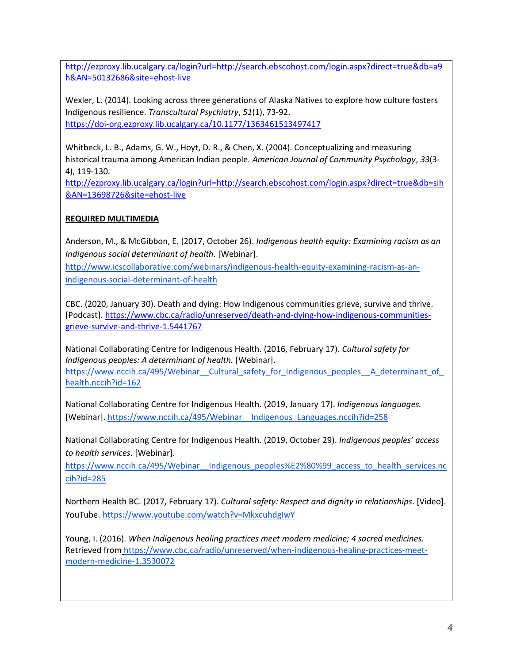[http://ezproxy.lib.ucalgary.ca/login?url=http://search.ebscohost.com/login.aspx?direct=true&db=a9](http://ezproxy.lib.ucalgary.ca/login?url=http://search.ebscohost.com/login.aspx?direct=true&db=a9h&AN=50132686&site=ehost-live) [h&AN=50132686&site=ehost-live](http://ezproxy.lib.ucalgary.ca/login?url=http://search.ebscohost.com/login.aspx?direct=true&db=a9h&AN=50132686&site=ehost-live)

Wexler, L. (2014). Looking across three generations of Alaska Natives to explore how culture fosters Indigenous resilience. *Transcultural Psychiatry*, *51*(1), 73-92. <https://doi-org.ezproxy.lib.ucalgary.ca/10.1177/1363461513497417>

Whitbeck, L. B., Adams, G. W., Hoyt, D. R., & Chen, X. (2004). Conceptualizing and measuring historical trauma among American Indian people. *American Journal of Community Psychology*, *33*(3- 4), 119-130.

[http://ezproxy.lib.ucalgary.ca/login?url=http://search.ebscohost.com/login.aspx?direct=true&db=sih](http://ezproxy.lib.ucalgary.ca/login?url=http://search.ebscohost.com/login.aspx?direct=true&db=sih&AN=13698726&site=ehost-live) [&AN=13698726&site=ehost-live](http://ezproxy.lib.ucalgary.ca/login?url=http://search.ebscohost.com/login.aspx?direct=true&db=sih&AN=13698726&site=ehost-live)

# **REQUIRED MULTIMEDIA**

Anderson, M., & McGibbon, E. (2017, October 26). *Indigenous health equity: Examining racism as an Indigenous social determinant of health*. [Webinar].

[http://www.icscollaborative.com/webinars/indigenous-health-equity-examining-racism-as-an](http://www.icscollaborative.com/webinars/indigenous-health-equity-examining-racism-as-an-indigenous-social-determinant-of-health)[indigenous-social-determinant-of-health](http://www.icscollaborative.com/webinars/indigenous-health-equity-examining-racism-as-an-indigenous-social-determinant-of-health)

CBC. (2020, January 30). Death and dying: How Indigenous communities grieve, survive and thrive. [Podcast][. https://www.cbc.ca/radio/unreserved/death-and-dying-how-indigenous-communities](https://www.cbc.ca/radio/unreserved/death-and-dying-how-indigenous-communities-grieve-survive-and-thrive-1.5441767)[grieve-survive-and-thrive-1.5441767](https://www.cbc.ca/radio/unreserved/death-and-dying-how-indigenous-communities-grieve-survive-and-thrive-1.5441767)

National Collaborating Centre for Indigenous Health. (2016, February 17). *Cultural safety for Indigenous peoples: A determinant of health.* [Webinar].

https://www.nccih.ca/495/Webinar\_ Cultural\_safety\_for\_Indigenous\_peoples\_\_A\_determinant\_of\_ [health.nccih?id=162](https://www.nccih.ca/495/Webinar__Cultural_safety_for_Indigenous_peoples__A_determinant_of_health.nccih?id=162)

National Collaborating Centre for Indigenous Health. (2019, January 17). *Indigenous languages.*  [Webinar][. https://www.nccih.ca/495/Webinar\\_\\_Indigenous\\_Languages.nccih?id=258](https://www.nccih.ca/495/Webinar__Indigenous_Languages.nccih?id=258)

National Collaborating Centre for Indigenous Health. (2019, October 29). *Indigenous peoples' access to health services*. [Webinar].

[https://www.nccih.ca/495/Webinar\\_\\_Indigenous\\_peoples%E2%80%99\\_access\\_to\\_health\\_services.nc](https://www.nccih.ca/495/Webinar__Indigenous_peoples%E2%80%99_access_to_health_services.nccih?id=285) [cih?id=285](https://www.nccih.ca/495/Webinar__Indigenous_peoples%E2%80%99_access_to_health_services.nccih?id=285)

Northern Health BC. (2017, February 17). *Cultural safety: Respect and dignity in relationships*. [Video]. YouTube.<https://www.youtube.com/watch?v=MkxcuhdgIwY>

Young, I. (2016). *When Indigenous healing practices meet modern medicine; 4 sacred medicines.*  Retrieved fro[m](https://www.cbc.ca/radio/unreserved/when-indigenous-healing-practices-meet-modern-medicine-1.3530072) [https://www.cbc.ca/radio/unreserved/when-indigenous-healing-practices-meet](https://www.cbc.ca/radio/unreserved/when-indigenous-healing-practices-meet-modern-medicine-1.3530072)[modern-medicine-1.3530072](https://www.cbc.ca/radio/unreserved/when-indigenous-healing-practices-meet-modern-medicine-1.3530072)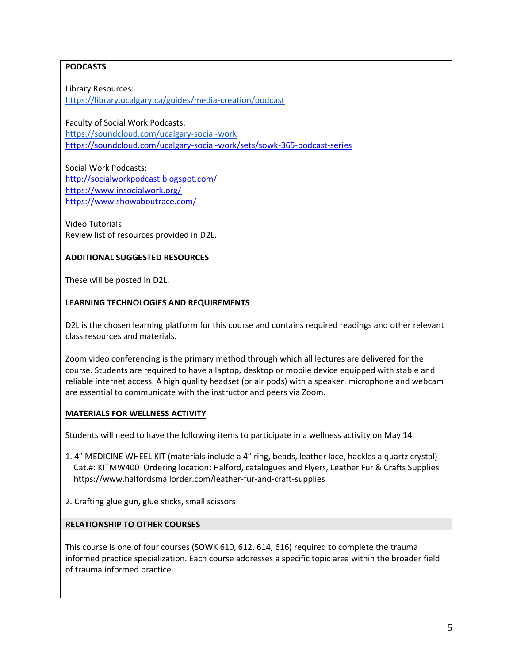# **PODCASTS**

Library Resources: <https://library.ucalgary.ca/guides/media-creation/podcast>

Faculty of Social Work Podcasts: <https://soundcloud.com/ucalgary-social-work> <https://soundcloud.com/ucalgary-social-work/sets/sowk-365-podcast-series>

Social Work Podcasts: <http://socialworkpodcast.blogspot.com/> <https://www.insocialwork.org/> <https://www.showaboutrace.com/>

Video Tutorials: Review list of resources provided in D2L.

# **ADDITIONAL SUGGESTED RESOURCES**

These will be posted in D2L.

## **LEARNING TECHNOLOGIES AND REQUIREMENTS**

D2L is the chosen learning platform for this course and contains required readings and other relevant class resources and materials.

Zoom video conferencing is the primary method through which all lectures are delivered for the course. Students are required to have a laptop, desktop or mobile device equipped with stable and reliable internet access. A high quality headset (or air pods) with a speaker, microphone and webcam are essential to communicate with the instructor and peers via Zoom.

## **MATERIALS FOR WELLNESS ACTIVITY**

Students will need to have the following items to participate in a wellness activity on May 14.

- 1. 4" MEDICINE WHEEL KIT (materials include a 4" ring, beads, leather lace, hackles a quartz crystal) Cat.#: KITMW400 Ordering location: Halford, catalogues and Flyers, Leather Fur & Crafts Supplies https://www.halfordsmailorder.com/leather-fur-and-craft-supplies
- 2. Crafting glue gun, glue sticks, small scissors

## **RELATIONSHIP TO OTHER COURSES**

This course is one of four courses (SOWK 610, 612, 614, 616) required to complete the trauma informed practice specialization. Each course addresses a specific topic area within the broader field of trauma informed practice.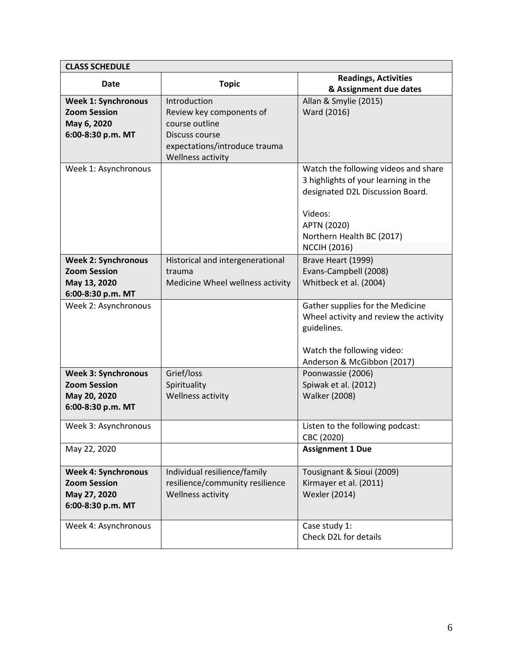| <b>CLASS SCHEDULE</b>      |                                  |                                        |  |  |
|----------------------------|----------------------------------|----------------------------------------|--|--|
| Date                       | <b>Topic</b>                     | <b>Readings, Activities</b>            |  |  |
|                            |                                  | & Assignment due dates                 |  |  |
| <b>Week 1: Synchronous</b> | Introduction                     | Allan & Smylie (2015)                  |  |  |
| <b>Zoom Session</b>        | Review key components of         | Ward (2016)                            |  |  |
| May 6, 2020                | course outline                   |                                        |  |  |
| 6:00-8:30 p.m. MT          | Discuss course                   |                                        |  |  |
|                            | expectations/introduce trauma    |                                        |  |  |
|                            | Wellness activity                |                                        |  |  |
| Week 1: Asynchronous       |                                  | Watch the following videos and share   |  |  |
|                            |                                  | 3 highlights of your learning in the   |  |  |
|                            |                                  | designated D2L Discussion Board.       |  |  |
|                            |                                  |                                        |  |  |
|                            |                                  | Videos:                                |  |  |
|                            |                                  | APTN (2020)                            |  |  |
|                            |                                  | Northern Health BC (2017)              |  |  |
|                            |                                  | <b>NCCIH (2016)</b>                    |  |  |
| <b>Week 2: Synchronous</b> | Historical and intergenerational | Brave Heart (1999)                     |  |  |
| <b>Zoom Session</b>        | trauma                           | Evans-Campbell (2008)                  |  |  |
| May 13, 2020               | Medicine Wheel wellness activity | Whitbeck et al. (2004)                 |  |  |
| 6:00-8:30 p.m. MT          |                                  |                                        |  |  |
| Week 2: Asynchronous       |                                  | Gather supplies for the Medicine       |  |  |
|                            |                                  | Wheel activity and review the activity |  |  |
|                            |                                  | guidelines.                            |  |  |
|                            |                                  |                                        |  |  |
|                            |                                  | Watch the following video:             |  |  |
|                            |                                  | Anderson & McGibbon (2017)             |  |  |
| <b>Week 3: Synchronous</b> | Grief/loss                       | Poonwassie (2006)                      |  |  |
| <b>Zoom Session</b>        | Spirituality                     | Spiwak et al. (2012)                   |  |  |
| May 20, 2020               | Wellness activity                | <b>Walker (2008)</b>                   |  |  |
| 6:00-8:30 p.m. MT          |                                  |                                        |  |  |
| Week 3: Asynchronous       |                                  | Listen to the following podcast:       |  |  |
|                            |                                  | CBC (2020)                             |  |  |
| May 22, 2020               |                                  | <b>Assignment 1 Due</b>                |  |  |
|                            |                                  |                                        |  |  |
| <b>Week 4: Synchronous</b> | Individual resilience/family     | Tousignant & Sioui (2009)              |  |  |
| <b>Zoom Session</b>        | resilience/community resilience  | Kirmayer et al. (2011)                 |  |  |
| May 27, 2020               | Wellness activity                | <b>Wexler (2014)</b>                   |  |  |
| 6:00-8:30 p.m. MT          |                                  |                                        |  |  |
| Week 4: Asynchronous       |                                  | Case study 1:                          |  |  |
|                            |                                  | Check D2L for details                  |  |  |
|                            |                                  |                                        |  |  |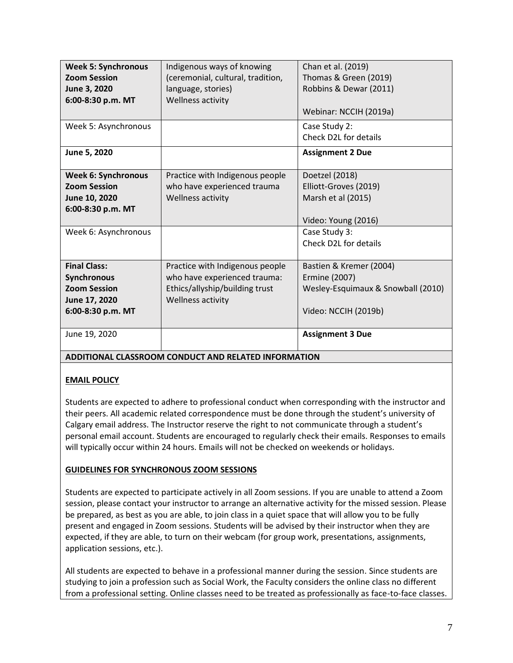| <b>Week 5: Synchronous</b> | Indigenous ways of knowing        | Chan et al. (2019)                 |
|----------------------------|-----------------------------------|------------------------------------|
| <b>Zoom Session</b>        | (ceremonial, cultural, tradition, | Thomas & Green (2019)              |
| June 3, 2020               | language, stories)                | Robbins & Dewar (2011)             |
| 6:00-8:30 p.m. MT          | Wellness activity                 |                                    |
|                            |                                   | Webinar: NCCIH (2019a)             |
| Week 5: Asynchronous       |                                   | Case Study 2:                      |
|                            |                                   | Check D2L for details              |
| June 5, 2020               |                                   | <b>Assignment 2 Due</b>            |
|                            |                                   |                                    |
| <b>Week 6: Synchronous</b> | Practice with Indigenous people   | Doetzel (2018)                     |
| <b>Zoom Session</b>        | who have experienced trauma       | Elliott-Groves (2019)              |
| June 10, 2020              | Wellness activity                 | Marsh et al (2015)                 |
| 6:00-8:30 p.m. MT          |                                   |                                    |
|                            |                                   | Video: Young (2016)                |
| Week 6: Asynchronous       |                                   | Case Study 3:                      |
|                            |                                   | Check D2L for details              |
|                            |                                   |                                    |
| <b>Final Class:</b>        | Practice with Indigenous people   | Bastien & Kremer (2004)            |
| <b>Synchronous</b>         | who have experienced trauma:      | Ermine (2007)                      |
| <b>Zoom Session</b>        | Ethics/allyship/building trust    | Wesley-Esquimaux & Snowball (2010) |
| June 17, 2020              | Wellness activity                 |                                    |
| 6:00-8:30 p.m. MT          |                                   | Video: NCCIH (2019b)               |
|                            |                                   |                                    |
| June 19, 2020              |                                   | <b>Assignment 3 Due</b>            |
|                            |                                   |                                    |

## **ADDITIONAL CLASSROOM CONDUCT AND RELATED INFORMATION**

## **EMAIL POLICY**

Students are expected to adhere to professional conduct when corresponding with the instructor and their peers. All academic related correspondence must be done through the student's university of Calgary email address. The Instructor reserve the right to not communicate through a student's personal email account. Students are encouraged to regularly check their emails. Responses to emails will typically occur within 24 hours. Emails will not be checked on weekends or holidays.

## **GUIDELINES FOR SYNCHRONOUS ZOOM SESSIONS**

Students are expected to participate actively in all Zoom sessions. If you are unable to attend a Zoom session, please contact your instructor to arrange an alternative activity for the missed session. Please be prepared, as best as you are able, to join class in a quiet space that will allow you to be fully present and engaged in Zoom sessions. Students will be advised by their instructor when they are expected, if they are able, to turn on their webcam (for group work, presentations, assignments, application sessions, etc.).

All students are expected to behave in a professional manner during the session. Since students are studying to join a profession such as Social Work, the Faculty considers the online class no different from a professional setting. Online classes need to be treated as professionally as face-to-face classes.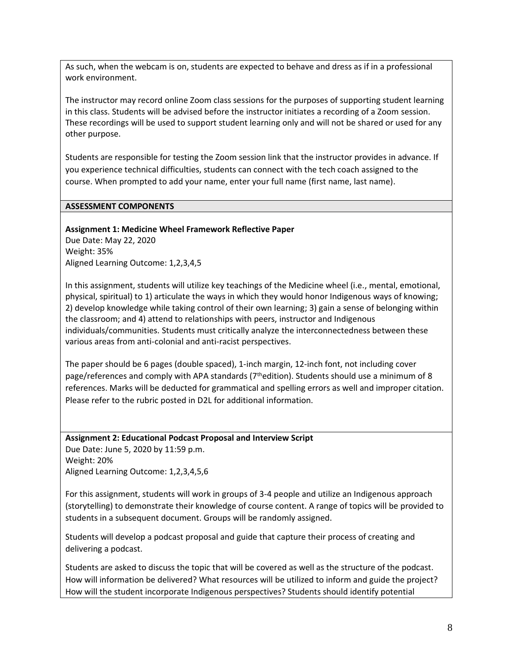As such, when the webcam is on, students are expected to behave and dress as if in a professional work environment.

The instructor may record online Zoom class sessions for the purposes of supporting student learning in this class. Students will be advised before the instructor initiates a recording of a Zoom session. These recordings will be used to support student learning only and will not be shared or used for any other purpose.

Students are responsible for testing the Zoom session link that the instructor provides in advance. If you experience technical difficulties, students can connect with the tech coach assigned to the course. When prompted to add your name, enter your full name (first name, last name).

#### **ASSESSMENT COMPONENTS**

#### **Assignment 1: Medicine Wheel Framework Reflective Paper**

Due Date: May 22, 2020 Weight: 35% Aligned Learning Outcome: 1,2,3,4,5

In this assignment, students will utilize key teachings of the Medicine wheel (i.e., mental, emotional, physical, spiritual) to 1) articulate the ways in which they would honor Indigenous ways of knowing; 2) develop knowledge while taking control of their own learning; 3) gain a sense of belonging within the classroom; and 4) attend to relationships with peers, instructor and Indigenous individuals/communities. Students must critically analyze the interconnectedness between these various areas from anti-colonial and anti-racist perspectives.

The paper should be 6 pages (double spaced), 1-inch margin, 12-inch font, not including cover page/references and comply with APA standards ( $7<sup>th</sup>$ edition). Students should use a minimum of 8 references. Marks will be deducted for grammatical and spelling errors as well and improper citation. Please refer to the rubric posted in D2L for additional information.

#### **Assignment 2: Educational Podcast Proposal and Interview Script**

Due Date: June 5, 2020 by 11:59 p.m. Weight: 20% Aligned Learning Outcome: 1,2,3,4,5,6

For this assignment, students will work in groups of 3-4 people and utilize an Indigenous approach (storytelling) to demonstrate their knowledge of course content. A range of topics will be provided to students in a subsequent document. Groups will be randomly assigned.

Students will develop a podcast proposal and guide that capture their process of creating and delivering a podcast.

Students are asked to discuss the topic that will be covered as well as the structure of the podcast. How will information be delivered? What resources will be utilized to inform and guide the project? How will the student incorporate Indigenous perspectives? Students should identify potential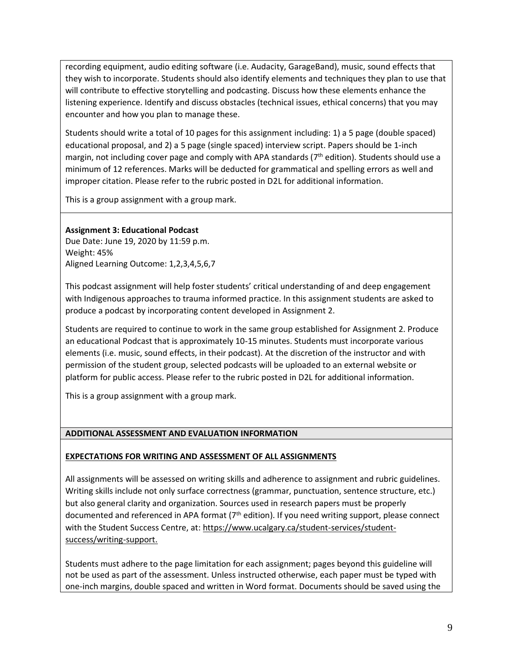recording equipment, audio editing software (i.e. Audacity, GarageBand), music, sound effects that they wish to incorporate. Students should also identify elements and techniques they plan to use that will contribute to effective storytelling and podcasting. Discuss how these elements enhance the listening experience. Identify and discuss obstacles (technical issues, ethical concerns) that you may encounter and how you plan to manage these.

Students should write a total of 10 pages for this assignment including: 1) a 5 page (double spaced) educational proposal, and 2) a 5 page (single spaced) interview script. Papers should be 1-inch margin, not including cover page and comply with APA standards  $(7<sup>th</sup>$  edition). Students should use a minimum of 12 references. Marks will be deducted for grammatical and spelling errors as well and improper citation. Please refer to the rubric posted in D2L for additional information.

This is a group assignment with a group mark.

### **Assignment 3: Educational Podcast**

Due Date: June 19, 2020 by 11:59 p.m. Weight: 45% Aligned Learning Outcome: 1,2,3,4,5,6,7

This podcast assignment will help foster students' critical understanding of and deep engagement with Indigenous approaches to trauma informed practice. In this assignment students are asked to produce a podcast by incorporating content developed in Assignment 2.

Students are required to continue to work in the same group established for Assignment 2. Produce an educational Podcast that is approximately 10-15 minutes. Students must incorporate various elements (i.e. music, sound effects, in their podcast). At the discretion of the instructor and with permission of the student group, selected podcasts will be uploaded to an external website or platform for public access. Please refer to the rubric posted in D2L for additional information.

This is a group assignment with a group mark.

### **ADDITIONAL ASSESSMENT AND EVALUATION INFORMATION**

### **EXPECTATIONS FOR WRITING AND ASSESSMENT OF ALL ASSIGNMENTS**

All assignments will be assessed on writing skills and adherence to assignment and rubric guidelines. Writing skills include not only surface correctness (grammar, punctuation, sentence structure, etc.) but also general clarity and organization. Sources used in research papers must be properly documented and referenced in APA format (7<sup>th</sup> edition). If you need writing support, please connect with the Student Success Centre, at: [https://www.ucalgary.ca/student-services/student](https://www.ucalgary.ca/student-services/student-success/writing-support)[success/writing-support.](https://www.ucalgary.ca/student-services/student-success/writing-support)

Students must adhere to the page limitation for each assignment; pages beyond this guideline will not be used as part of the assessment. Unless instructed otherwise, each paper must be typed with one-inch margins, double spaced and written in Word format. Documents should be saved using the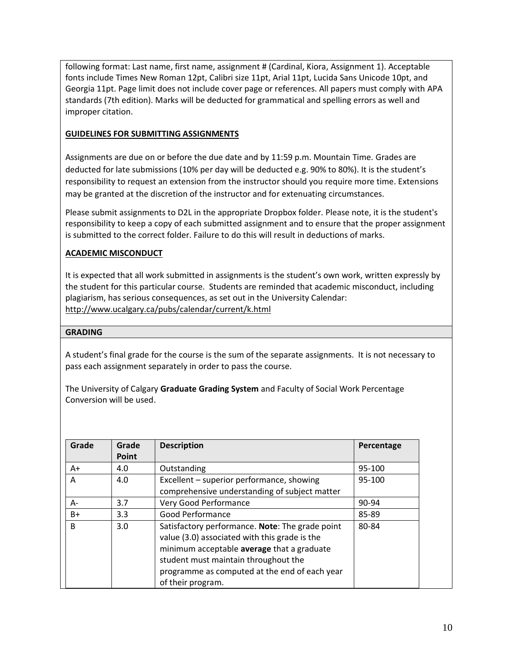following format: Last name, first name, assignment # (Cardinal, Kiora, Assignment 1). Acceptable fonts include Times New Roman 12pt, Calibri size 11pt, Arial 11pt, Lucida Sans Unicode 10pt, and Georgia 11pt. Page limit does not include cover page or references. All papers must comply with APA standards (7th edition). Marks will be deducted for grammatical and spelling errors as well and improper citation.

# **GUIDELINES FOR SUBMITTING ASSIGNMENTS**

Assignments are due on or before the due date and by 11:59 p.m. Mountain Time. Grades are deducted for late submissions (10% per day will be deducted e.g. 90% to 80%). It is the student's responsibility to request an extension from the instructor should you require more time. Extensions may be granted at the discretion of the instructor and for extenuating circumstances.

Please submit assignments to D2L in the appropriate Dropbox folder. Please note, it is the student's responsibility to keep a copy of each submitted assignment and to ensure that the proper assignment is submitted to the correct folder. Failure to do this will result in deductions of marks.

# **ACADEMIC MISCONDUCT**

It is expected that all work submitted in assignments is the student's own work, written expressly by the student for this particular course. Students are reminded that academic misconduct, including plagiarism, has serious consequences, as set out in the University Calendar: <http://www.ucalgary.ca/pubs/calendar/current/k.html>

## **GRADING**

A student's final grade for the course is the sum of the separate assignments. It is not necessary to pass each assignment separately in order to pass the course.

The University of Calgary **Graduate Grading System** and Faculty of Social Work Percentage Conversion will be used.

| Grade | Grade | <b>Description</b>                                                                               | Percentage |
|-------|-------|--------------------------------------------------------------------------------------------------|------------|
|       | Point |                                                                                                  |            |
| $A+$  | 4.0   | Outstanding                                                                                      | 95-100     |
| A     | 4.0   | Excellent - superior performance, showing                                                        | 95-100     |
|       |       | comprehensive understanding of subject matter                                                    |            |
| $A -$ | 3.7   | Very Good Performance                                                                            | 90-94      |
| B+    | 3.3   | Good Performance                                                                                 | 85-89      |
| B     | 3.0   | Satisfactory performance. Note: The grade point<br>value (3.0) associated with this grade is the | 80-84      |
|       |       | minimum acceptable average that a graduate<br>student must maintain throughout the               |            |
|       |       | programme as computed at the end of each year                                                    |            |
|       |       | of their program.                                                                                |            |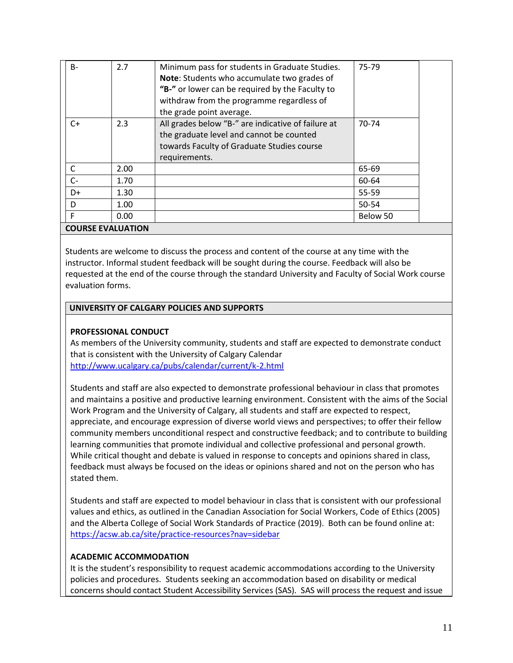| $B -$                    | 2.7  | Minimum pass for students in Graduate Studies.<br>Note: Students who accumulate two grades of<br>"B-" or lower can be required by the Faculty to<br>withdraw from the programme regardless of | 75-79    |  |
|--------------------------|------|-----------------------------------------------------------------------------------------------------------------------------------------------------------------------------------------------|----------|--|
| $C+$                     | 2.3  | the grade point average.<br>All grades below "B-" are indicative of failure at<br>the graduate level and cannot be counted<br>towards Faculty of Graduate Studies course<br>requirements.     | 70-74    |  |
| C                        | 2.00 |                                                                                                                                                                                               | 65-69    |  |
| $C-$                     | 1.70 |                                                                                                                                                                                               | 60-64    |  |
| D+                       | 1.30 |                                                                                                                                                                                               | 55-59    |  |
| D                        | 1.00 |                                                                                                                                                                                               | 50-54    |  |
| F                        | 0.00 |                                                                                                                                                                                               | Below 50 |  |
| <b>COURSE EVALUATION</b> |      |                                                                                                                                                                                               |          |  |

Students are welcome to discuss the process and content of the course at any time with the instructor. Informal student feedback will be sought during the course. Feedback will also be requested at the end of the course through the standard University and Faculty of Social Work course evaluation forms.

### **UNIVERSITY OF CALGARY POLICIES AND SUPPORTS**

### **PROFESSIONAL CONDUCT**

As members of the University community, students and staff are expected to demonstrate conduct that is consistent with the University of Calgary Calendar <http://www.ucalgary.ca/pubs/calendar/current/k-2.html>

Students and staff are also expected to demonstrate professional behaviour in class that promotes and maintains a positive and productive learning environment. Consistent with the aims of the Social Work Program and the University of Calgary, all students and staff are expected to respect, appreciate, and encourage expression of diverse world views and perspectives; to offer their fellow community members unconditional respect and constructive feedback; and to contribute to building learning communities that promote individual and collective professional and personal growth. While critical thought and debate is valued in response to concepts and opinions shared in class, feedback must always be focused on the ideas or opinions shared and not on the person who has stated them.

Students and staff are expected to model behaviour in class that is consistent with our professional values and ethics, as outlined in the Canadian Association for Social Workers, Code of Ethics (2005) and the Alberta College of Social Work Standards of Practice (2019). Both can be found online at: <https://acsw.ab.ca/site/practice-resources?nav=sidebar>

### **ACADEMIC ACCOMMODATION**

It is the student's responsibility to request academic accommodations according to the University policies and procedures. Students seeking an accommodation based on disability or medical concerns should contact Student Accessibility Services (SAS). SAS will process the request and issue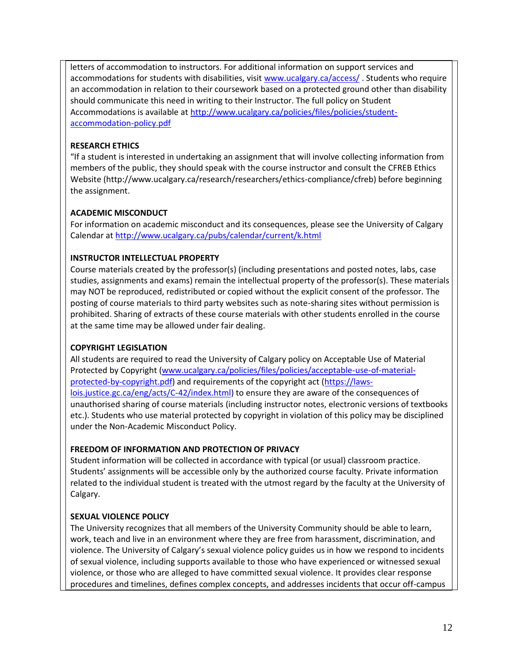letters of accommodation to instructors. For additional information on support services and accommodations for students with disabilities, visit [www.ucalgary.ca/access/](http://www.ucalgary.ca/access/). Students who require an accommodation in relation to their coursework based on a protected ground other than disability should communicate this need in writing to their Instructor. The full policy on Student Accommodations is available at [http://www.ucalgary.ca/policies/files/policies/student](http://www.ucalgary.ca/policies/files/policies/student-accommodation-policy.pdf)[accommodation-policy.pdf](http://www.ucalgary.ca/policies/files/policies/student-accommodation-policy.pdf)

# **RESEARCH ETHICS**

"If a student is interested in undertaking an assignment that will involve collecting information from members of the public, they should speak with the course instructor and consult the CFREB Ethics Website [\(http://www.ucalgary.ca/research/researchers/ethics-compliance/cfreb\)](http://www.ucalgary.ca/research/researchers/ethics-compliance/cfreb) before beginning the assignment.

## **ACADEMIC MISCONDUCT**

For information on academic misconduct and its consequences, please see the University of Calgary Calendar a[t http://www.ucalgary.ca/pubs/calendar/current/k.html](http://www.ucalgary.ca/pubs/calendar/current/k.html)

# **INSTRUCTOR INTELLECTUAL PROPERTY**

Course materials created by the professor(s) (including presentations and posted notes, labs, case studies, assignments and exams) remain the intellectual property of the professor(s). These materials may NOT be reproduced, redistributed or copied without the explicit consent of the professor. The posting of course materials to third party websites such as note-sharing sites without permission is prohibited. Sharing of extracts of these course materials with other students enrolled in the course at the same time may be allowed under fair dealing.

## **COPYRIGHT LEGISLATION**

All students are required to read the University of Calgary policy on Acceptable Use of Material Protected by Copyright [\(www.ucalgary.ca/policies/files/policies/acceptable-use-of-material](http://www.ucalgary.ca/policies/files/policies/acceptable-use-of-material-protected-by-copyright.pdf)[protected-by-copyright.pdf\)](http://www.ucalgary.ca/policies/files/policies/acceptable-use-of-material-protected-by-copyright.pdf) and requirements of the copyright act [\(https://laws](https://laws-lois.justice.gc.ca/eng/acts/C-42/index.html)[lois.justice.gc.ca/eng/acts/C-42/index.html\)](https://laws-lois.justice.gc.ca/eng/acts/C-42/index.html) to ensure they are aware of the consequences of unauthorised sharing of course materials (including instructor notes, electronic versions of textbooks etc.). Students who use material protected by copyright in violation of this policy may be disciplined under the Non-Academic Misconduct Policy.

## **FREEDOM OF INFORMATION AND PROTECTION OF PRIVACY**

Student information will be collected in accordance with typical (or usual) classroom practice. Students' assignments will be accessible only by the authorized course faculty. Private information related to the individual student is treated with the utmost regard by the faculty at the University of Calgary.

# **SEXUAL VIOLENCE POLICY**

The University recognizes that all members of the University Community should be able to learn, work, teach and live in an environment where they are free from harassment, discrimination, and violence. The University of Calgary's sexual violence policy guides us in how we respond to incidents of sexual violence, including supports available to those who have experienced or witnessed sexual violence, or those who are alleged to have committed sexual violence. It provides clear response procedures and timelines, defines complex concepts, and addresses incidents that occur off-campus